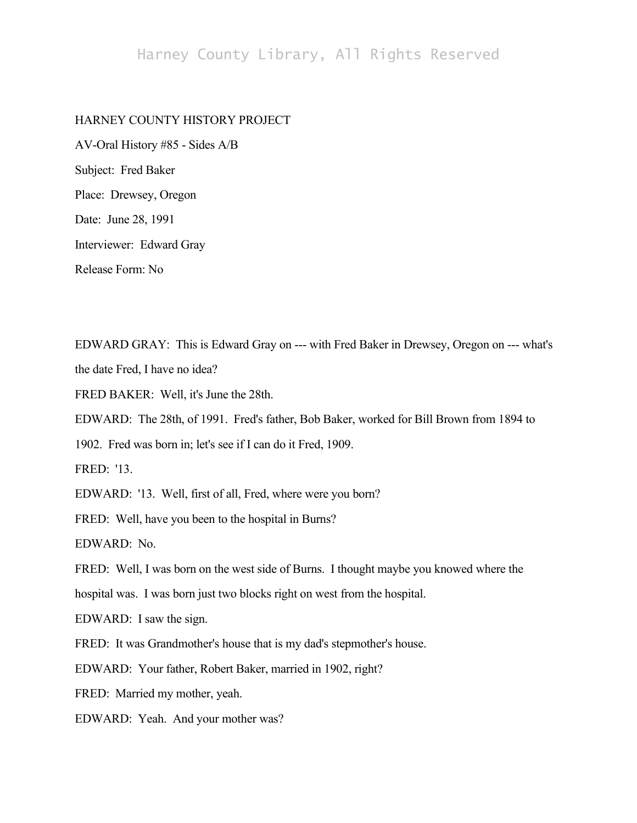# Harney County Library, All Rights Reserved

# HARNEY COUNTY HISTORY PROJECT

AV-Oral History #85 - Sides A/B Subject: Fred Baker Place: Drewsey, Oregon Date: June 28, 1991 Interviewer: Edward Gray Release Form: No

EDWARD GRAY: This is Edward Gray on --- with Fred Baker in Drewsey, Oregon on --- what's the date Fred, I have no idea?

FRED BAKER: Well, it's June the 28th.

EDWARD: The 28th, of 1991. Fred's father, Bob Baker, worked for Bill Brown from 1894 to

1902. Fred was born in; let's see if I can do it Fred, 1909.

FRED: '13.

EDWARD: '13. Well, first of all, Fred, where were you born?

FRED: Well, have you been to the hospital in Burns?

EDWARD: No.

FRED: Well, I was born on the west side of Burns. I thought maybe you knowed where the

hospital was. I was born just two blocks right on west from the hospital.

EDWARD: I saw the sign.

FRED: It was Grandmother's house that is my dad's stepmother's house.

EDWARD: Your father, Robert Baker, married in 1902, right?

FRED: Married my mother, yeah.

EDWARD: Yeah. And your mother was?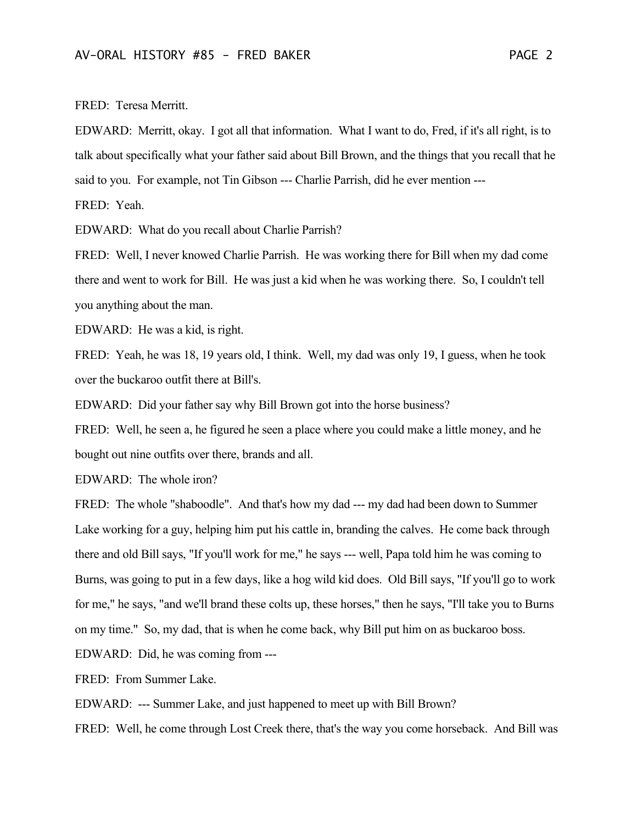FRED: Teresa Merritt.

EDWARD: Merritt, okay. I got all that information. What I want to do, Fred, if it's all right, is to talk about specifically what your father said about Bill Brown, and the things that you recall that he said to you. For example, not Tin Gibson --- Charlie Parrish, did he ever mention ---

FRED: Yeah.

EDWARD: What do you recall about Charlie Parrish?

FRED: Well, I never knowed Charlie Parrish. He was working there for Bill when my dad come there and went to work for Bill. He was just a kid when he was working there. So, I couldn't tell you anything about the man.

EDWARD: He was a kid, is right.

FRED: Yeah, he was 18, 19 years old, I think. Well, my dad was only 19, I guess, when he took over the buckaroo outfit there at Bill's.

EDWARD: Did your father say why Bill Brown got into the horse business?

FRED: Well, he seen a, he figured he seen a place where you could make a little money, and he bought out nine outfits over there, brands and all.

EDWARD: The whole iron?

FRED: The whole "shaboodle". And that's how my dad --- my dad had been down to Summer Lake working for a guy, helping him put his cattle in, branding the calves. He come back through there and old Bill says, "If you'll work for me," he says --- well, Papa told him he was coming to Burns, was going to put in a few days, like a hog wild kid does. Old Bill says, "If you'll go to work for me," he says, "and we'll brand these colts up, these horses," then he says, "I'll take you to Burns on my time." So, my dad, that is when he come back, why Bill put him on as buckaroo boss.

EDWARD: Did, he was coming from ---

FRED: From Summer Lake.

EDWARD: --- Summer Lake, and just happened to meet up with Bill Brown?

FRED: Well, he come through Lost Creek there, that's the way you come horseback. And Bill was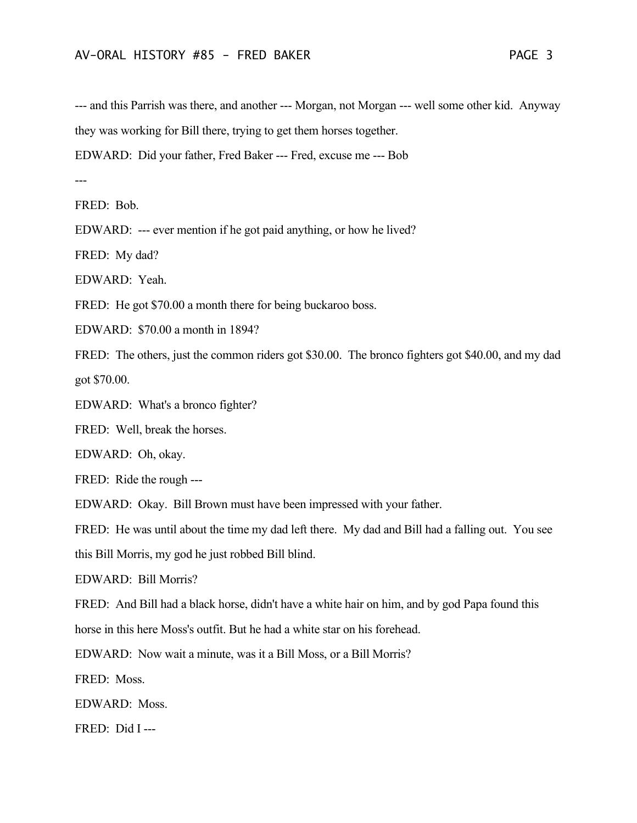--- and this Parrish was there, and another --- Morgan, not Morgan --- well some other kid. Anyway they was working for Bill there, trying to get them horses together.

EDWARD: Did your father, Fred Baker --- Fred, excuse me --- Bob

---

FRED: Bob.

EDWARD: --- ever mention if he got paid anything, or how he lived?

FRED: My dad?

EDWARD: Yeah.

FRED: He got \$70.00 a month there for being buckaroo boss.

EDWARD: \$70.00 a month in 1894?

FRED: The others, just the common riders got \$30.00. The bronco fighters got \$40.00, and my dad got \$70.00.

EDWARD: What's a bronco fighter?

FRED: Well, break the horses.

EDWARD: Oh, okay.

FRED: Ride the rough ---

EDWARD: Okay. Bill Brown must have been impressed with your father.

FRED: He was until about the time my dad left there. My dad and Bill had a falling out. You see

this Bill Morris, my god he just robbed Bill blind.

EDWARD: Bill Morris?

FRED: And Bill had a black horse, didn't have a white hair on him, and by god Papa found this

horse in this here Moss's outfit. But he had a white star on his forehead.

EDWARD: Now wait a minute, was it a Bill Moss, or a Bill Morris?

FRED: Moss.

EDWARD: Moss.

FRED: Did I ---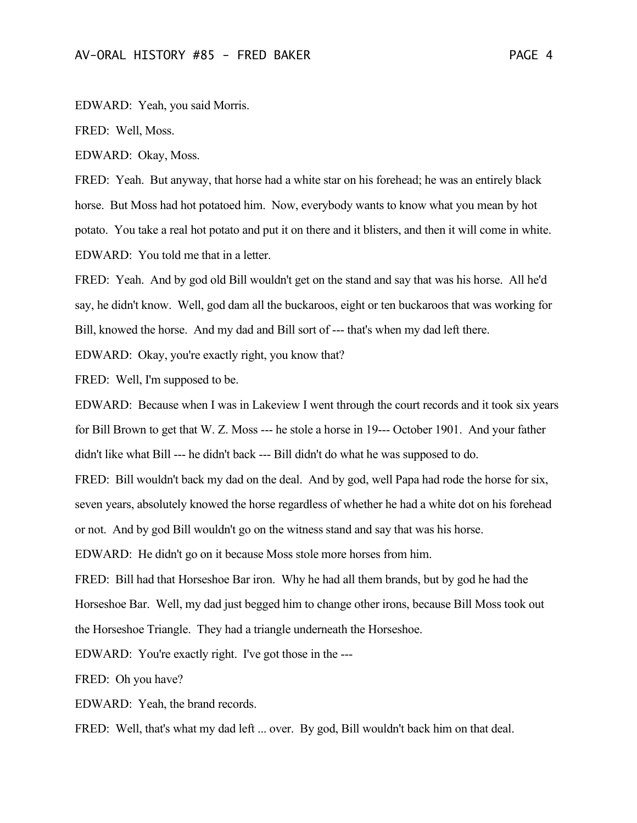EDWARD: Yeah, you said Morris.

FRED: Well, Moss.

EDWARD: Okay, Moss.

FRED: Yeah. But anyway, that horse had a white star on his forehead; he was an entirely black horse. But Moss had hot potatoed him. Now, everybody wants to know what you mean by hot potato. You take a real hot potato and put it on there and it blisters, and then it will come in white. EDWARD: You told me that in a letter.

FRED: Yeah. And by god old Bill wouldn't get on the stand and say that was his horse. All he'd say, he didn't know. Well, god dam all the buckaroos, eight or ten buckaroos that was working for Bill, knowed the horse. And my dad and Bill sort of --- that's when my dad left there.

EDWARD: Okay, you're exactly right, you know that?

FRED: Well, I'm supposed to be.

EDWARD: Because when I was in Lakeview I went through the court records and it took six years for Bill Brown to get that W. Z. Moss --- he stole a horse in 19--- October 1901. And your father didn't like what Bill --- he didn't back --- Bill didn't do what he was supposed to do.

FRED: Bill wouldn't back my dad on the deal. And by god, well Papa had rode the horse for six, seven years, absolutely knowed the horse regardless of whether he had a white dot on his forehead or not. And by god Bill wouldn't go on the witness stand and say that was his horse.

EDWARD: He didn't go on it because Moss stole more horses from him.

FRED: Bill had that Horseshoe Bar iron. Why he had all them brands, but by god he had the Horseshoe Bar. Well, my dad just begged him to change other irons, because Bill Moss took out the Horseshoe Triangle. They had a triangle underneath the Horseshoe.

EDWARD: You're exactly right. I've got those in the ---

FRED: Oh you have?

EDWARD: Yeah, the brand records.

FRED: Well, that's what my dad left ... over. By god, Bill wouldn't back him on that deal.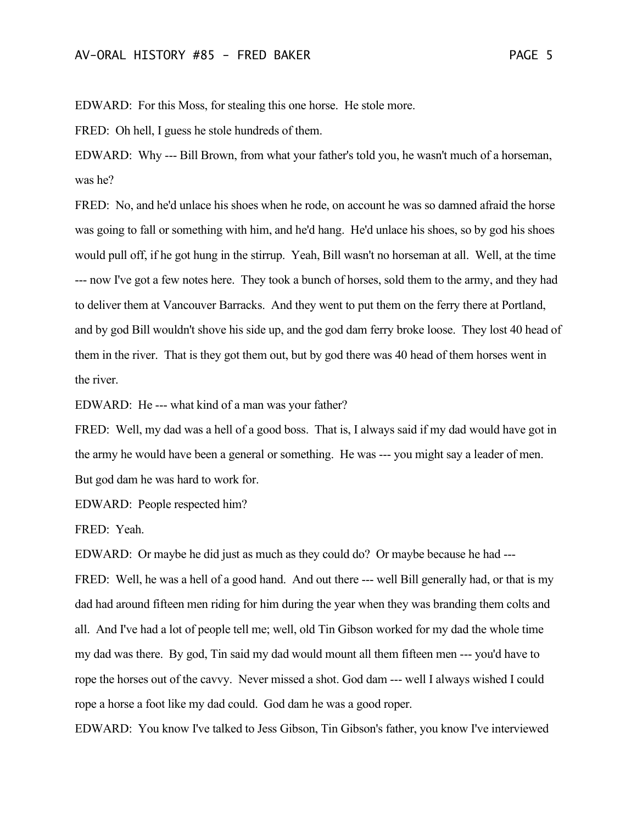EDWARD: For this Moss, for stealing this one horse. He stole more.

FRED: Oh hell, I guess he stole hundreds of them.

EDWARD: Why --- Bill Brown, from what your father's told you, he wasn't much of a horseman, was he?

FRED: No, and he'd unlace his shoes when he rode, on account he was so damned afraid the horse was going to fall or something with him, and he'd hang. He'd unlace his shoes, so by god his shoes would pull off, if he got hung in the stirrup. Yeah, Bill wasn't no horseman at all. Well, at the time --- now I've got a few notes here. They took a bunch of horses, sold them to the army, and they had to deliver them at Vancouver Barracks. And they went to put them on the ferry there at Portland, and by god Bill wouldn't shove his side up, and the god dam ferry broke loose. They lost 40 head of them in the river. That is they got them out, but by god there was 40 head of them horses went in the river.

EDWARD: He --- what kind of a man was your father?

FRED: Well, my dad was a hell of a good boss. That is, I always said if my dad would have got in the army he would have been a general or something. He was --- you might say a leader of men. But god dam he was hard to work for.

EDWARD: People respected him?

FRED: Yeah.

EDWARD: Or maybe he did just as much as they could do? Or maybe because he had --- FRED: Well, he was a hell of a good hand. And out there --- well Bill generally had, or that is my dad had around fifteen men riding for him during the year when they was branding them colts and all. And I've had a lot of people tell me; well, old Tin Gibson worked for my dad the whole time my dad was there. By god, Tin said my dad would mount all them fifteen men --- you'd have to rope the horses out of the cavvy. Never missed a shot. God dam --- well I always wished I could rope a horse a foot like my dad could. God dam he was a good roper.

EDWARD: You know I've talked to Jess Gibson, Tin Gibson's father, you know I've interviewed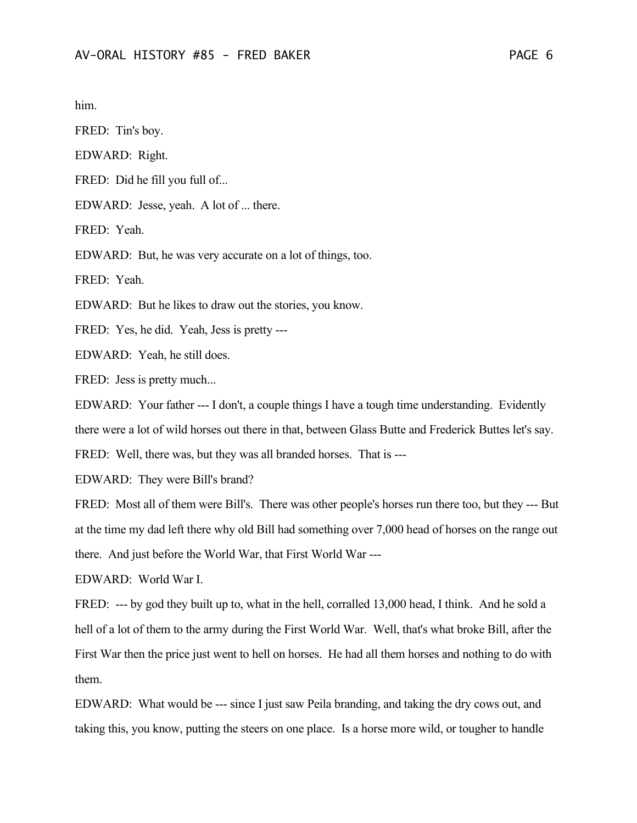him.

FRED: Tin's boy.

EDWARD: Right.

FRED: Did he fill you full of...

EDWARD: Jesse, yeah. A lot of ... there.

FRED: Yeah.

EDWARD: But, he was very accurate on a lot of things, too.

FRED: Yeah.

EDWARD: But he likes to draw out the stories, you know.

FRED: Yes, he did. Yeah, Jess is pretty ---

EDWARD: Yeah, he still does.

FRED: Jess is pretty much...

EDWARD: Your father --- I don't, a couple things I have a tough time understanding. Evidently there were a lot of wild horses out there in that, between Glass Butte and Frederick Buttes let's say.

FRED: Well, there was, but they was all branded horses. That is ---

EDWARD: They were Bill's brand?

FRED: Most all of them were Bill's. There was other people's horses run there too, but they --- But at the time my dad left there why old Bill had something over 7,000 head of horses on the range out there. And just before the World War, that First World War ---

EDWARD: World War I.

FRED: --- by god they built up to, what in the hell, corralled 13,000 head, I think. And he sold a hell of a lot of them to the army during the First World War. Well, that's what broke Bill, after the First War then the price just went to hell on horses. He had all them horses and nothing to do with them.

EDWARD: What would be --- since I just saw Peila branding, and taking the dry cows out, and taking this, you know, putting the steers on one place. Is a horse more wild, or tougher to handle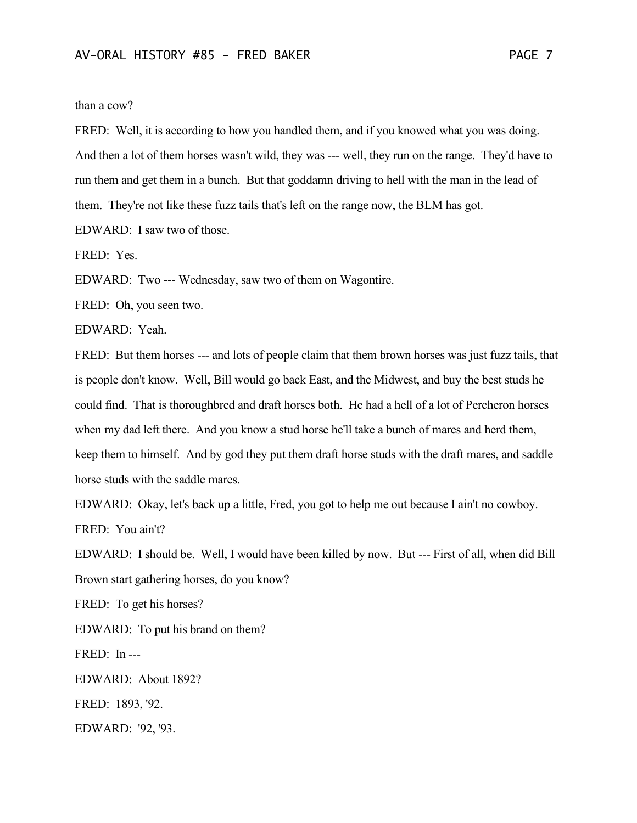### than a cow?

FRED: Well, it is according to how you handled them, and if you knowed what you was doing. And then a lot of them horses wasn't wild, they was --- well, they run on the range. They'd have to run them and get them in a bunch. But that goddamn driving to hell with the man in the lead of them. They're not like these fuzz tails that's left on the range now, the BLM has got.

EDWARD: I saw two of those.

FRED: Yes.

EDWARD: Two --- Wednesday, saw two of them on Wagontire.

FRED: Oh, you seen two.

EDWARD: Yeah.

FRED: But them horses --- and lots of people claim that them brown horses was just fuzz tails, that is people don't know. Well, Bill would go back East, and the Midwest, and buy the best studs he could find. That is thoroughbred and draft horses both. He had a hell of a lot of Percheron horses when my dad left there. And you know a stud horse he'll take a bunch of mares and herd them, keep them to himself. And by god they put them draft horse studs with the draft mares, and saddle horse studs with the saddle mares.

EDWARD: Okay, let's back up a little, Fred, you got to help me out because I ain't no cowboy. FRED: You ain't?

EDWARD: I should be. Well, I would have been killed by now. But --- First of all, when did Bill Brown start gathering horses, do you know?

FRED: To get his horses?

EDWARD: To put his brand on them?

FRED: In ---

EDWARD: About 1892?

FRED: 1893, '92.

EDWARD: '92, '93.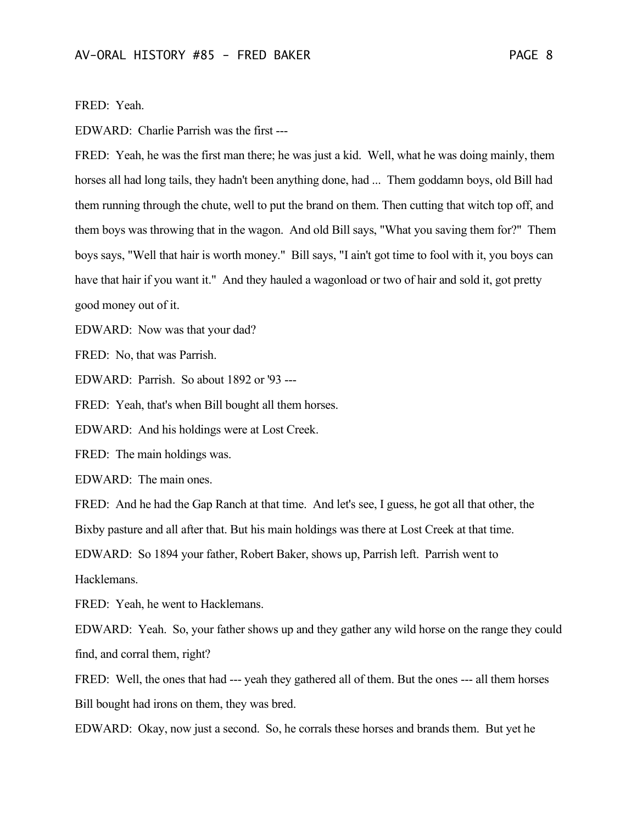FRED: Yeah.

EDWARD: Charlie Parrish was the first ---

FRED: Yeah, he was the first man there; he was just a kid. Well, what he was doing mainly, them horses all had long tails, they hadn't been anything done, had ... Them goddamn boys, old Bill had them running through the chute, well to put the brand on them. Then cutting that witch top off, and them boys was throwing that in the wagon. And old Bill says, "What you saving them for?" Them boys says, "Well that hair is worth money." Bill says, "I ain't got time to fool with it, you boys can have that hair if you want it." And they hauled a wagonload or two of hair and sold it, got pretty good money out of it.

EDWARD: Now was that your dad?

FRED: No, that was Parrish.

EDWARD: Parrish. So about 1892 or '93 ---

FRED: Yeah, that's when Bill bought all them horses.

EDWARD: And his holdings were at Lost Creek.

FRED: The main holdings was.

EDWARD: The main ones.

FRED: And he had the Gap Ranch at that time. And let's see, I guess, he got all that other, the Bixby pasture and all after that. But his main holdings was there at Lost Creek at that time.

EDWARD: So 1894 your father, Robert Baker, shows up, Parrish left. Parrish went to

Hacklemans.

FRED: Yeah, he went to Hacklemans.

EDWARD: Yeah. So, your father shows up and they gather any wild horse on the range they could find, and corral them, right?

FRED: Well, the ones that had --- yeah they gathered all of them. But the ones --- all them horses Bill bought had irons on them, they was bred.

EDWARD: Okay, now just a second. So, he corrals these horses and brands them. But yet he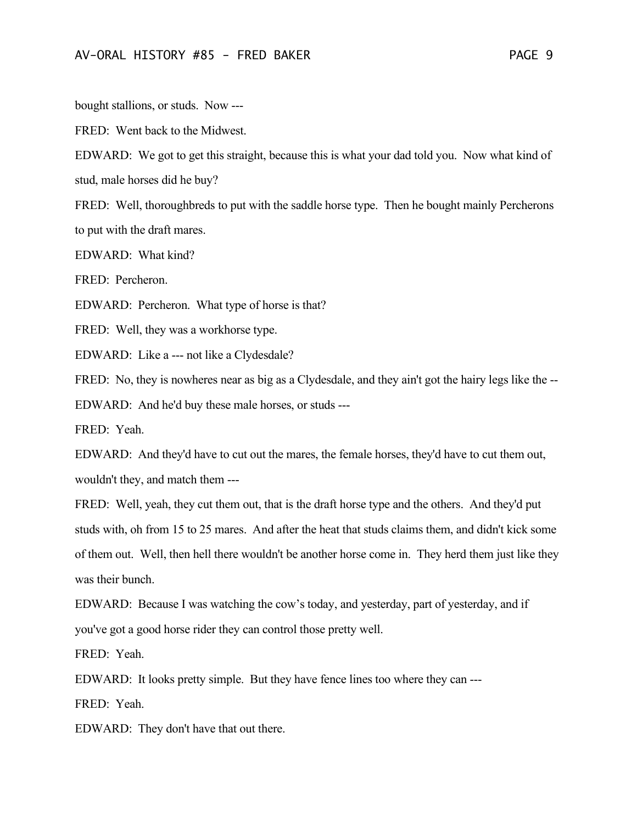bought stallions, or studs. Now ---

FRED: Went back to the Midwest.

EDWARD: We got to get this straight, because this is what your dad told you. Now what kind of stud, male horses did he buy?

FRED: Well, thoroughbreds to put with the saddle horse type. Then he bought mainly Percherons to put with the draft mares.

EDWARD: What kind?

FRED: Percheron.

EDWARD: Percheron. What type of horse is that?

FRED: Well, they was a workhorse type.

EDWARD: Like a --- not like a Clydesdale?

FRED: No, they is nowheres near as big as a Clydesdale, and they ain't got the hairy legs like the --

EDWARD: And he'd buy these male horses, or studs ---

FRED: Yeah.

EDWARD: And they'd have to cut out the mares, the female horses, they'd have to cut them out, wouldn't they, and match them ---

FRED: Well, yeah, they cut them out, that is the draft horse type and the others. And they'd put studs with, oh from 15 to 25 mares. And after the heat that studs claims them, and didn't kick some of them out. Well, then hell there wouldn't be another horse come in. They herd them just like they was their bunch.

EDWARD: Because I was watching the cow's today, and yesterday, part of yesterday, and if you've got a good horse rider they can control those pretty well.

FRED: Yeah.

EDWARD: It looks pretty simple. But they have fence lines too where they can ---

FRED: Yeah.

EDWARD: They don't have that out there.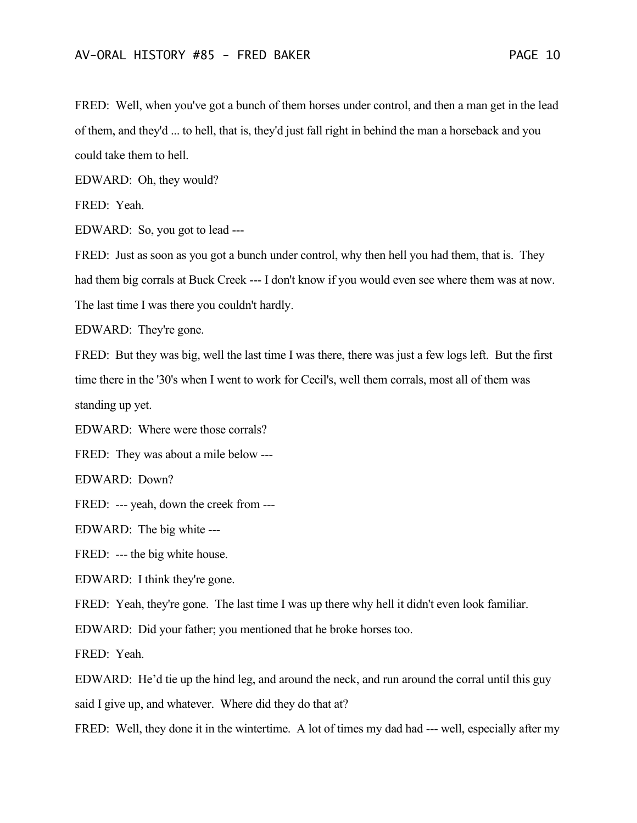FRED: Well, when you've got a bunch of them horses under control, and then a man get in the lead of them, and they'd ... to hell, that is, they'd just fall right in behind the man a horseback and you could take them to hell.

EDWARD: Oh, they would?

FRED: Yeah.

EDWARD: So, you got to lead ---

FRED: Just as soon as you got a bunch under control, why then hell you had them, that is. They had them big corrals at Buck Creek --- I don't know if you would even see where them was at now. The last time I was there you couldn't hardly.

EDWARD: They're gone.

FRED: But they was big, well the last time I was there, there was just a few logs left. But the first time there in the '30's when I went to work for Cecil's, well them corrals, most all of them was standing up yet.

EDWARD: Where were those corrals?

FRED: They was about a mile below ---

EDWARD: Down?

FRED: --- yeah, down the creek from ---

EDWARD: The big white ---

FRED: --- the big white house.

EDWARD: I think they're gone.

FRED: Yeah, they're gone. The last time I was up there why hell it didn't even look familiar.

EDWARD: Did your father; you mentioned that he broke horses too.

FRED: Yeah.

EDWARD: He'd tie up the hind leg, and around the neck, and run around the corral until this guy said I give up, and whatever. Where did they do that at?

FRED: Well, they done it in the wintertime. A lot of times my dad had --- well, especially after my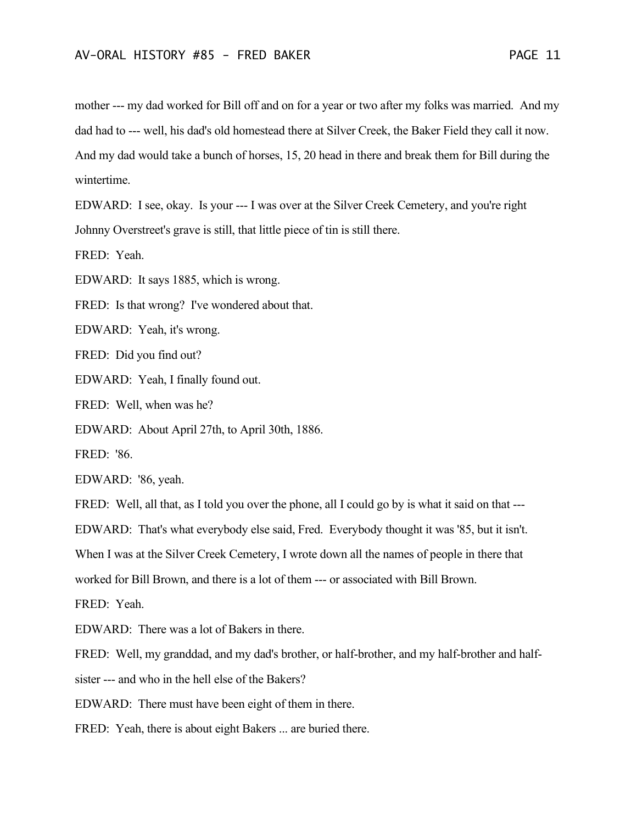mother --- my dad worked for Bill off and on for a year or two after my folks was married. And my dad had to --- well, his dad's old homestead there at Silver Creek, the Baker Field they call it now. And my dad would take a bunch of horses, 15, 20 head in there and break them for Bill during the wintertime.

EDWARD: I see, okay. Is your --- I was over at the Silver Creek Cemetery, and you're right Johnny Overstreet's grave is still, that little piece of tin is still there.

FRED: Yeah.

EDWARD: It says 1885, which is wrong.

FRED: Is that wrong? I've wondered about that.

EDWARD: Yeah, it's wrong.

FRED: Did you find out?

EDWARD: Yeah, I finally found out.

FRED: Well, when was he?

EDWARD: About April 27th, to April 30th, 1886.

FRED: '86.

EDWARD: '86, yeah.

FRED: Well, all that, as I told you over the phone, all I could go by is what it said on that ---EDWARD: That's what everybody else said, Fred. Everybody thought it was '85, but it isn't. When I was at the Silver Creek Cemetery, I wrote down all the names of people in there that worked for Bill Brown, and there is a lot of them --- or associated with Bill Brown.

FRED: Yeah.

EDWARD: There was a lot of Bakers in there.

FRED: Well, my granddad, and my dad's brother, or half-brother, and my half-brother and halfsister --- and who in the hell else of the Bakers?

EDWARD: There must have been eight of them in there.

FRED: Yeah, there is about eight Bakers ... are buried there.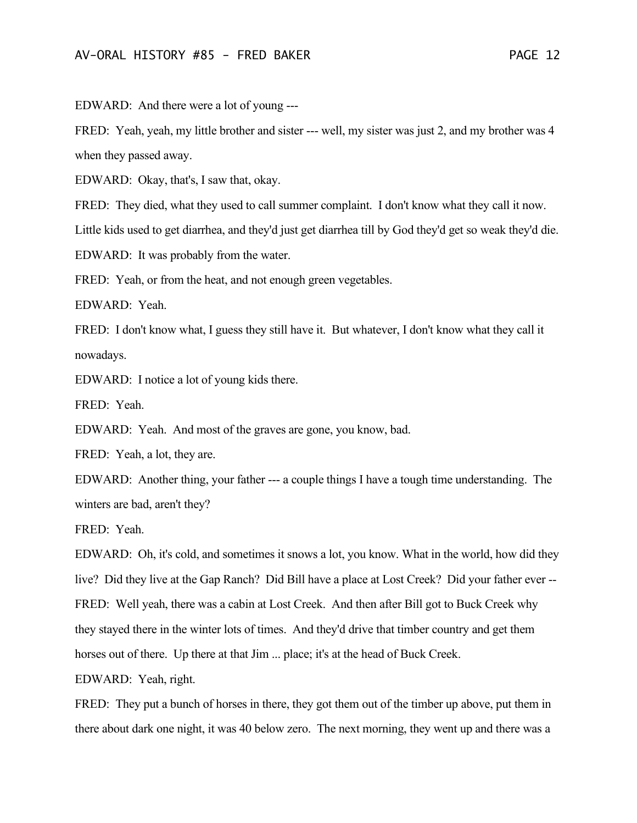EDWARD: And there were a lot of young ---

FRED: Yeah, yeah, my little brother and sister --- well, my sister was just 2, and my brother was 4 when they passed away.

EDWARD: Okay, that's, I saw that, okay.

FRED: They died, what they used to call summer complaint. I don't know what they call it now.

Little kids used to get diarrhea, and they'd just get diarrhea till by God they'd get so weak they'd die.

EDWARD: It was probably from the water.

FRED: Yeah, or from the heat, and not enough green vegetables.

EDWARD: Yeah.

FRED: I don't know what, I guess they still have it. But whatever, I don't know what they call it nowadays.

EDWARD: I notice a lot of young kids there.

FRED: Yeah.

EDWARD: Yeah. And most of the graves are gone, you know, bad.

FRED: Yeah, a lot, they are.

EDWARD: Another thing, your father --- a couple things I have a tough time understanding. The winters are bad, aren't they?

FRED: Yeah.

EDWARD: Oh, it's cold, and sometimes it snows a lot, you know. What in the world, how did they live? Did they live at the Gap Ranch? Did Bill have a place at Lost Creek? Did your father ever -- FRED: Well yeah, there was a cabin at Lost Creek. And then after Bill got to Buck Creek why they stayed there in the winter lots of times. And they'd drive that timber country and get them horses out of there. Up there at that Jim ... place; it's at the head of Buck Creek.

EDWARD: Yeah, right.

FRED: They put a bunch of horses in there, they got them out of the timber up above, put them in there about dark one night, it was 40 below zero. The next morning, they went up and there was a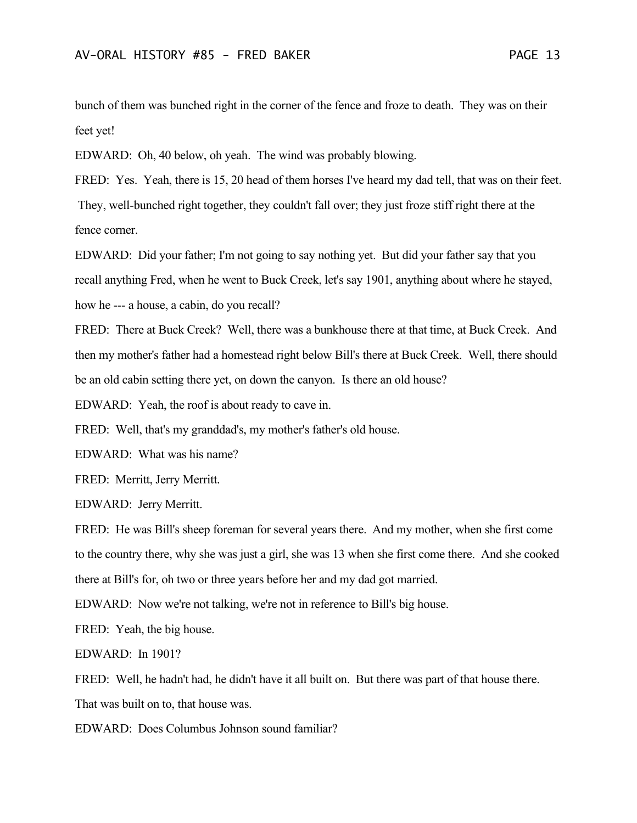bunch of them was bunched right in the corner of the fence and froze to death. They was on their feet yet!

EDWARD: Oh, 40 below, oh yeah. The wind was probably blowing.

FRED: Yes. Yeah, there is 15, 20 head of them horses I've heard my dad tell, that was on their feet. They, well-bunched right together, they couldn't fall over; they just froze stiff right there at the fence corner.

EDWARD: Did your father; I'm not going to say nothing yet. But did your father say that you recall anything Fred, when he went to Buck Creek, let's say 1901, anything about where he stayed, how he --- a house, a cabin, do you recall?

FRED: There at Buck Creek? Well, there was a bunkhouse there at that time, at Buck Creek. And then my mother's father had a homestead right below Bill's there at Buck Creek. Well, there should be an old cabin setting there yet, on down the canyon. Is there an old house?

EDWARD: Yeah, the roof is about ready to cave in.

FRED: Well, that's my granddad's, my mother's father's old house.

EDWARD: What was his name?

FRED: Merritt, Jerry Merritt.

EDWARD: Jerry Merritt.

FRED: He was Bill's sheep foreman for several years there. And my mother, when she first come to the country there, why she was just a girl, she was 13 when she first come there. And she cooked there at Bill's for, oh two or three years before her and my dad got married.

EDWARD: Now we're not talking, we're not in reference to Bill's big house.

FRED: Yeah, the big house.

EDWARD: In 1901?

FRED: Well, he hadn't had, he didn't have it all built on. But there was part of that house there.

That was built on to, that house was.

EDWARD: Does Columbus Johnson sound familiar?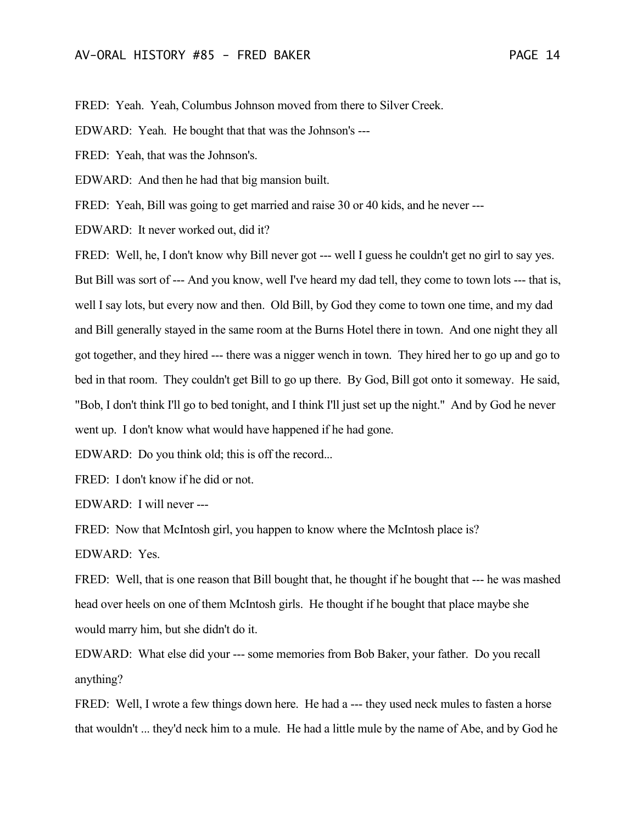FRED: Yeah. Yeah, Columbus Johnson moved from there to Silver Creek.

EDWARD: Yeah. He bought that that was the Johnson's ---

FRED: Yeah, that was the Johnson's.

EDWARD: And then he had that big mansion built.

FRED: Yeah, Bill was going to get married and raise 30 or 40 kids, and he never ---

EDWARD: It never worked out, did it?

FRED: Well, he, I don't know why Bill never got --- well I guess he couldn't get no girl to say yes. But Bill was sort of --- And you know, well I've heard my dad tell, they come to town lots --- that is, well I say lots, but every now and then. Old Bill, by God they come to town one time, and my dad and Bill generally stayed in the same room at the Burns Hotel there in town. And one night they all got together, and they hired --- there was a nigger wench in town. They hired her to go up and go to bed in that room. They couldn't get Bill to go up there. By God, Bill got onto it someway. He said, "Bob, I don't think I'll go to bed tonight, and I think I'll just set up the night." And by God he never went up. I don't know what would have happened if he had gone.

EDWARD: Do you think old; this is off the record...

FRED: I don't know if he did or not.

EDWARD: I will never ---

FRED: Now that McIntosh girl, you happen to know where the McIntosh place is?

EDWARD: Yes.

FRED: Well, that is one reason that Bill bought that, he thought if he bought that --- he was mashed head over heels on one of them McIntosh girls. He thought if he bought that place maybe she would marry him, but she didn't do it.

EDWARD: What else did your --- some memories from Bob Baker, your father. Do you recall anything?

FRED: Well, I wrote a few things down here. He had a --- they used neck mules to fasten a horse that wouldn't ... they'd neck him to a mule. He had a little mule by the name of Abe, and by God he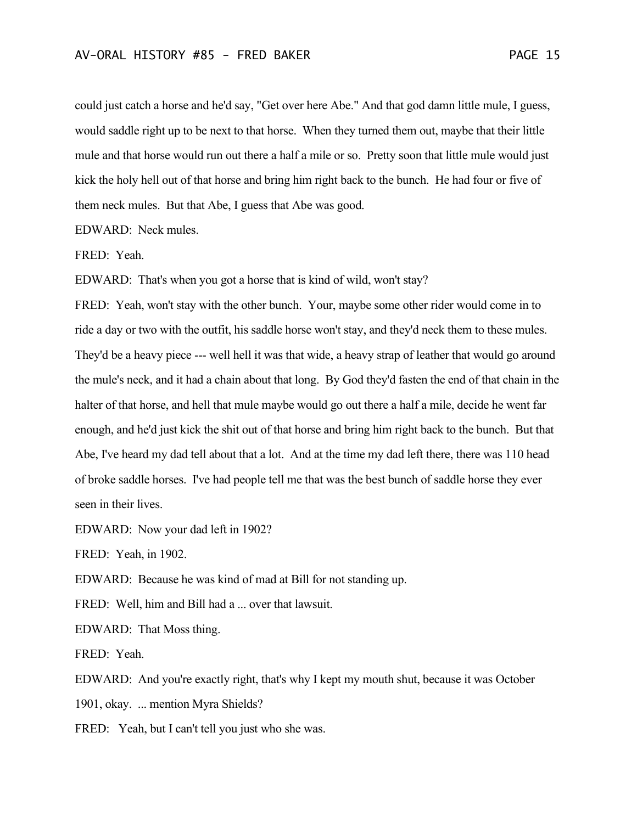could just catch a horse and he'd say, "Get over here Abe." And that god damn little mule, I guess, would saddle right up to be next to that horse. When they turned them out, maybe that their little mule and that horse would run out there a half a mile or so. Pretty soon that little mule would just kick the holy hell out of that horse and bring him right back to the bunch. He had four or five of them neck mules. But that Abe, I guess that Abe was good.

EDWARD: Neck mules.

FRED: Yeah.

EDWARD: That's when you got a horse that is kind of wild, won't stay?

FRED: Yeah, won't stay with the other bunch. Your, maybe some other rider would come in to ride a day or two with the outfit, his saddle horse won't stay, and they'd neck them to these mules. They'd be a heavy piece --- well hell it was that wide, a heavy strap of leather that would go around the mule's neck, and it had a chain about that long. By God they'd fasten the end of that chain in the halter of that horse, and hell that mule maybe would go out there a half a mile, decide he went far enough, and he'd just kick the shit out of that horse and bring him right back to the bunch. But that Abe, I've heard my dad tell about that a lot. And at the time my dad left there, there was 110 head of broke saddle horses. I've had people tell me that was the best bunch of saddle horse they ever seen in their lives.

EDWARD: Now your dad left in 1902?

FRED: Yeah, in 1902.

EDWARD: Because he was kind of mad at Bill for not standing up.

FRED: Well, him and Bill had a ... over that lawsuit.

EDWARD: That Moss thing.

FRED: Yeah.

EDWARD: And you're exactly right, that's why I kept my mouth shut, because it was October 1901, okay. ... mention Myra Shields?

FRED: Yeah, but I can't tell you just who she was.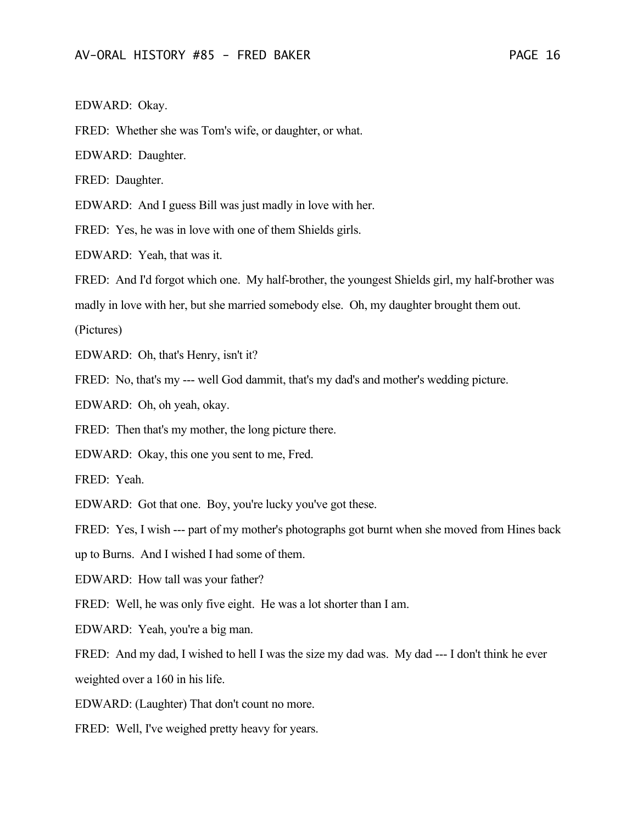EDWARD: Okay.

FRED: Whether she was Tom's wife, or daughter, or what.

EDWARD: Daughter.

FRED: Daughter.

EDWARD: And I guess Bill was just madly in love with her.

FRED: Yes, he was in love with one of them Shields girls.

EDWARD: Yeah, that was it.

FRED: And I'd forgot which one. My half-brother, the youngest Shields girl, my half-brother was

madly in love with her, but she married somebody else. Oh, my daughter brought them out.

(Pictures)

EDWARD: Oh, that's Henry, isn't it?

FRED: No, that's my --- well God dammit, that's my dad's and mother's wedding picture.

EDWARD: Oh, oh yeah, okay.

FRED: Then that's my mother, the long picture there.

EDWARD: Okay, this one you sent to me, Fred.

FRED: Yeah.

EDWARD: Got that one. Boy, you're lucky you've got these.

FRED: Yes, I wish --- part of my mother's photographs got burnt when she moved from Hines back

up to Burns. And I wished I had some of them.

EDWARD: How tall was your father?

FRED: Well, he was only five eight. He was a lot shorter than I am.

EDWARD: Yeah, you're a big man.

FRED: And my dad, I wished to hell I was the size my dad was. My dad --- I don't think he ever weighted over a 160 in his life.

EDWARD: (Laughter) That don't count no more.

FRED: Well, I've weighed pretty heavy for years.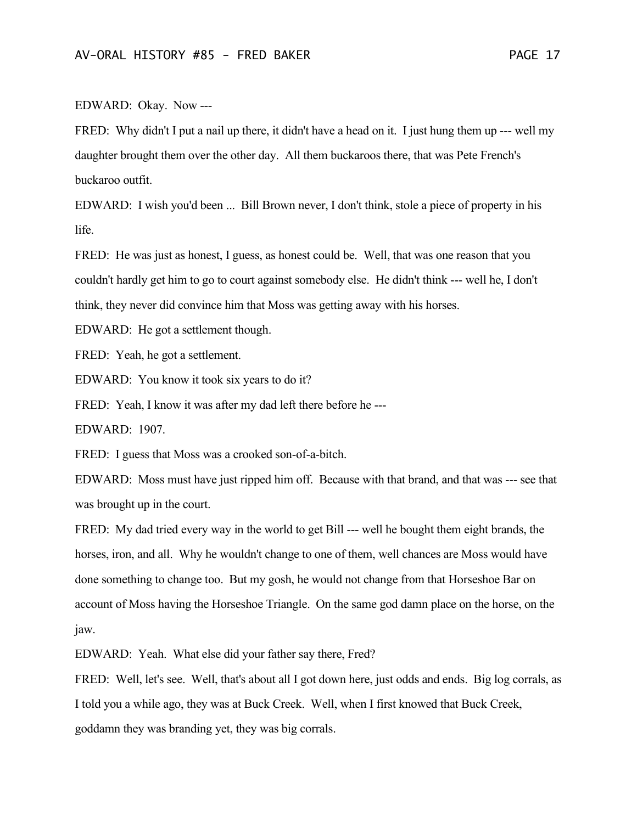#### EDWARD: Okay. Now ---

FRED: Why didn't I put a nail up there, it didn't have a head on it. I just hung them up --- well my daughter brought them over the other day. All them buckaroos there, that was Pete French's buckaroo outfit.

EDWARD: I wish you'd been ... Bill Brown never, I don't think, stole a piece of property in his life.

FRED: He was just as honest, I guess, as honest could be. Well, that was one reason that you couldn't hardly get him to go to court against somebody else. He didn't think --- well he, I don't think, they never did convince him that Moss was getting away with his horses.

EDWARD: He got a settlement though.

FRED: Yeah, he got a settlement.

EDWARD: You know it took six years to do it?

FRED: Yeah, I know it was after my dad left there before he ---

EDWARD: 1907.

FRED: I guess that Moss was a crooked son-of-a-bitch.

EDWARD: Moss must have just ripped him off. Because with that brand, and that was --- see that was brought up in the court.

FRED: My dad tried every way in the world to get Bill --- well he bought them eight brands, the horses, iron, and all. Why he wouldn't change to one of them, well chances are Moss would have done something to change too. But my gosh, he would not change from that Horseshoe Bar on account of Moss having the Horseshoe Triangle. On the same god damn place on the horse, on the jaw.

EDWARD: Yeah. What else did your father say there, Fred?

FRED: Well, let's see. Well, that's about all I got down here, just odds and ends. Big log corrals, as I told you a while ago, they was at Buck Creek. Well, when I first knowed that Buck Creek, goddamn they was branding yet, they was big corrals.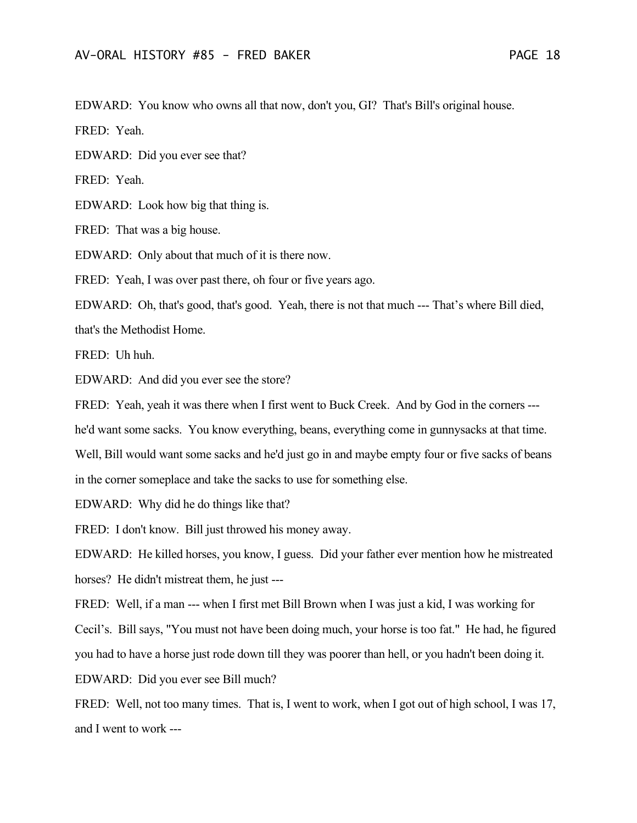EDWARD: You know who owns all that now, don't you, GI? That's Bill's original house.

FRED: Yeah.

EDWARD: Did you ever see that?

FRED: Yeah.

EDWARD: Look how big that thing is.

FRED: That was a big house.

EDWARD: Only about that much of it is there now.

FRED: Yeah, I was over past there, oh four or five years ago.

EDWARD: Oh, that's good, that's good. Yeah, there is not that much --- That's where Bill died,

that's the Methodist Home.

FRED: Uh huh.

EDWARD: And did you ever see the store?

FRED: Yeah, yeah it was there when I first went to Buck Creek. And by God in the corners ---

he'd want some sacks. You know everything, beans, everything come in gunnysacks at that time.

Well, Bill would want some sacks and he'd just go in and maybe empty four or five sacks of beans in the corner someplace and take the sacks to use for something else.

EDWARD: Why did he do things like that?

FRED: I don't know. Bill just throwed his money away.

EDWARD: He killed horses, you know, I guess. Did your father ever mention how he mistreated horses? He didn't mistreat them, he just ---

FRED: Well, if a man --- when I first met Bill Brown when I was just a kid, I was working for

Cecil's. Bill says, "You must not have been doing much, your horse is too fat." He had, he figured

you had to have a horse just rode down till they was poorer than hell, or you hadn't been doing it.

EDWARD: Did you ever see Bill much?

FRED: Well, not too many times. That is, I went to work, when I got out of high school, I was 17, and I went to work ---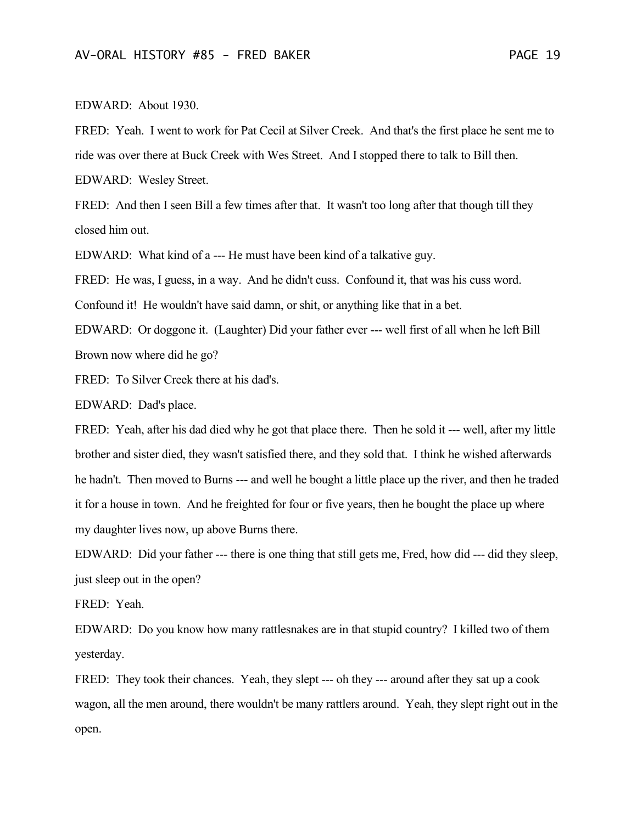#### EDWARD: About 1930.

FRED: Yeah. I went to work for Pat Cecil at Silver Creek. And that's the first place he sent me to ride was over there at Buck Creek with Wes Street. And I stopped there to talk to Bill then.

EDWARD: Wesley Street.

FRED: And then I seen Bill a few times after that. It wasn't too long after that though till they closed him out.

EDWARD: What kind of a --- He must have been kind of a talkative guy.

FRED: He was, I guess, in a way. And he didn't cuss. Confound it, that was his cuss word.

Confound it! He wouldn't have said damn, or shit, or anything like that in a bet.

EDWARD: Or doggone it. (Laughter) Did your father ever --- well first of all when he left Bill Brown now where did he go?

FRED: To Silver Creek there at his dad's.

EDWARD: Dad's place.

FRED: Yeah, after his dad died why he got that place there. Then he sold it --- well, after my little brother and sister died, they wasn't satisfied there, and they sold that. I think he wished afterwards he hadn't. Then moved to Burns --- and well he bought a little place up the river, and then he traded it for a house in town. And he freighted for four or five years, then he bought the place up where my daughter lives now, up above Burns there.

EDWARD: Did your father --- there is one thing that still gets me, Fred, how did --- did they sleep, just sleep out in the open?

FRED: Yeah.

EDWARD: Do you know how many rattlesnakes are in that stupid country? I killed two of them yesterday.

FRED: They took their chances. Yeah, they slept --- oh they --- around after they sat up a cook wagon, all the men around, there wouldn't be many rattlers around. Yeah, they slept right out in the open.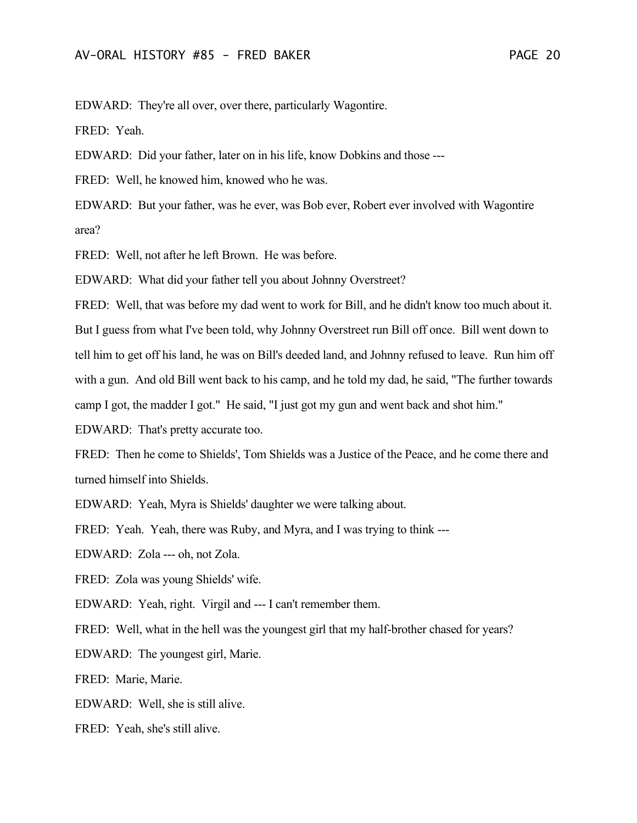EDWARD: They're all over, over there, particularly Wagontire.

FRED: Yeah.

EDWARD: Did your father, later on in his life, know Dobkins and those ---

FRED: Well, he knowed him, knowed who he was.

EDWARD: But your father, was he ever, was Bob ever, Robert ever involved with Wagontire area?

FRED: Well, not after he left Brown. He was before.

EDWARD: What did your father tell you about Johnny Overstreet?

FRED: Well, that was before my dad went to work for Bill, and he didn't know too much about it. But I guess from what I've been told, why Johnny Overstreet run Bill off once. Bill went down to tell him to get off his land, he was on Bill's deeded land, and Johnny refused to leave. Run him off with a gun. And old Bill went back to his camp, and he told my dad, he said, "The further towards camp I got, the madder I got." He said, "I just got my gun and went back and shot him."

EDWARD: That's pretty accurate too.

FRED: Then he come to Shields', Tom Shields was a Justice of the Peace, and he come there and turned himself into Shields.

EDWARD: Yeah, Myra is Shields' daughter we were talking about.

FRED: Yeah. Yeah, there was Ruby, and Myra, and I was trying to think ---

EDWARD: Zola --- oh, not Zola.

FRED: Zola was young Shields' wife.

EDWARD: Yeah, right. Virgil and --- I can't remember them.

FRED: Well, what in the hell was the youngest girl that my half-brother chased for years?

EDWARD: The youngest girl, Marie.

FRED: Marie, Marie.

EDWARD: Well, she is still alive.

FRED: Yeah, she's still alive.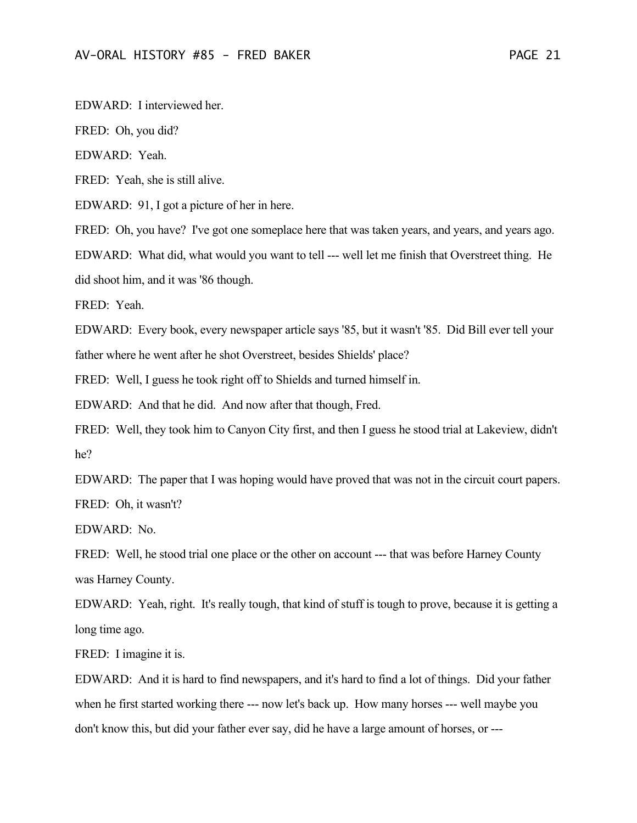EDWARD: I interviewed her.

FRED: Oh, you did?

EDWARD: Yeah.

FRED: Yeah, she is still alive.

EDWARD: 91, I got a picture of her in here.

FRED: Oh, you have? I've got one someplace here that was taken years, and years, and years ago.

EDWARD: What did, what would you want to tell --- well let me finish that Overstreet thing. He did shoot him, and it was '86 though.

FRED: Yeah.

EDWARD: Every book, every newspaper article says '85, but it wasn't '85. Did Bill ever tell your father where he went after he shot Overstreet, besides Shields' place?

FRED: Well, I guess he took right off to Shields and turned himself in.

EDWARD: And that he did. And now after that though, Fred.

FRED: Well, they took him to Canyon City first, and then I guess he stood trial at Lakeview, didn't he?

EDWARD: The paper that I was hoping would have proved that was not in the circuit court papers. FRED: Oh, it wasn't?

EDWARD: No.

FRED: Well, he stood trial one place or the other on account --- that was before Harney County was Harney County.

EDWARD: Yeah, right. It's really tough, that kind of stuff is tough to prove, because it is getting a long time ago.

FRED: I imagine it is.

EDWARD: And it is hard to find newspapers, and it's hard to find a lot of things. Did your father when he first started working there --- now let's back up. How many horses --- well maybe you don't know this, but did your father ever say, did he have a large amount of horses, or ---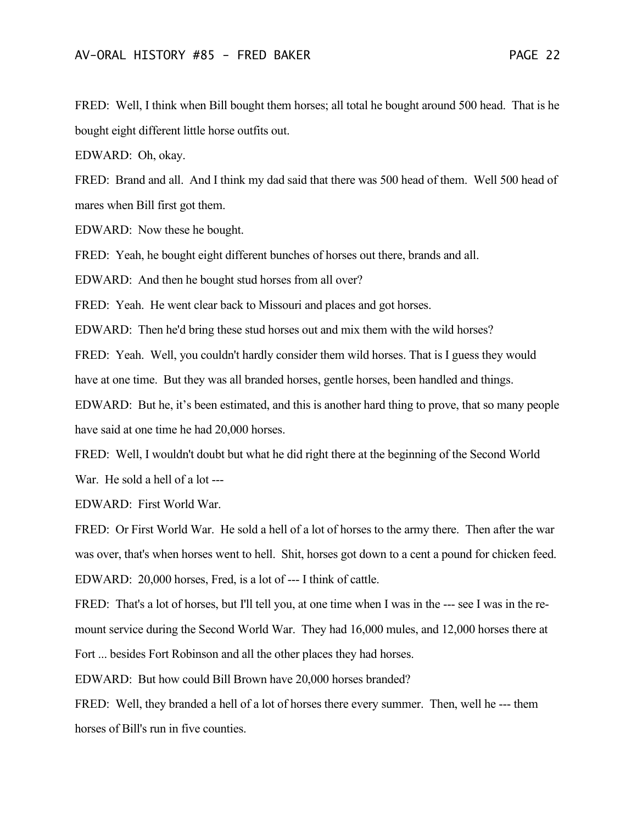FRED: Well, I think when Bill bought them horses; all total he bought around 500 head. That is he bought eight different little horse outfits out.

EDWARD: Oh, okay.

FRED: Brand and all. And I think my dad said that there was 500 head of them. Well 500 head of mares when Bill first got them.

EDWARD: Now these he bought.

FRED: Yeah, he bought eight different bunches of horses out there, brands and all.

EDWARD: And then he bought stud horses from all over?

FRED: Yeah. He went clear back to Missouri and places and got horses.

EDWARD: Then he'd bring these stud horses out and mix them with the wild horses?

FRED: Yeah. Well, you couldn't hardly consider them wild horses. That is I guess they would have at one time. But they was all branded horses, gentle horses, been handled and things.

EDWARD: But he, it's been estimated, and this is another hard thing to prove, that so many people have said at one time he had 20,000 horses.

FRED: Well, I wouldn't doubt but what he did right there at the beginning of the Second World War. He sold a hell of a lot ---

EDWARD: First World War.

FRED: Or First World War. He sold a hell of a lot of horses to the army there. Then after the war was over, that's when horses went to hell. Shit, horses got down to a cent a pound for chicken feed. EDWARD: 20,000 horses, Fred, is a lot of --- I think of cattle.

FRED: That's a lot of horses, but I'll tell you, at one time when I was in the --- see I was in the remount service during the Second World War. They had 16,000 mules, and 12,000 horses there at Fort ... besides Fort Robinson and all the other places they had horses.

EDWARD: But how could Bill Brown have 20,000 horses branded?

FRED: Well, they branded a hell of a lot of horses there every summer. Then, well he --- them horses of Bill's run in five counties.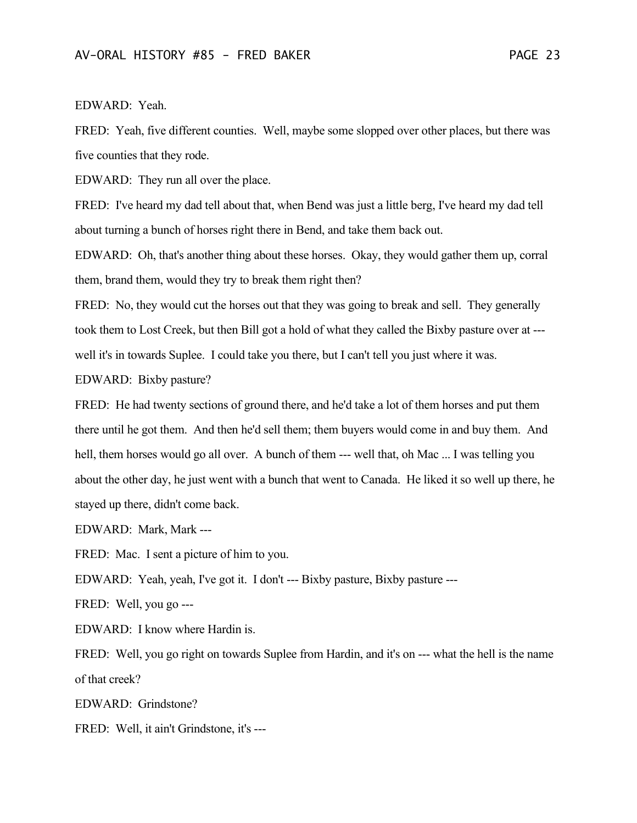## EDWARD: Yeah.

FRED: Yeah, five different counties. Well, maybe some slopped over other places, but there was five counties that they rode.

EDWARD: They run all over the place.

FRED: I've heard my dad tell about that, when Bend was just a little berg, I've heard my dad tell about turning a bunch of horses right there in Bend, and take them back out.

EDWARD: Oh, that's another thing about these horses. Okay, they would gather them up, corral them, brand them, would they try to break them right then?

FRED: No, they would cut the horses out that they was going to break and sell. They generally took them to Lost Creek, but then Bill got a hold of what they called the Bixby pasture over at -- well it's in towards Suplee. I could take you there, but I can't tell you just where it was.

EDWARD: Bixby pasture?

FRED: He had twenty sections of ground there, and he'd take a lot of them horses and put them there until he got them. And then he'd sell them; them buyers would come in and buy them. And hell, them horses would go all over. A bunch of them --- well that, oh Mac ... I was telling you about the other day, he just went with a bunch that went to Canada. He liked it so well up there, he stayed up there, didn't come back.

EDWARD: Mark, Mark ---

FRED: Mac. I sent a picture of him to you.

EDWARD: Yeah, yeah, I've got it. I don't --- Bixby pasture, Bixby pasture ---

FRED: Well, you go ---

EDWARD: I know where Hardin is.

FRED: Well, you go right on towards Suplee from Hardin, and it's on --- what the hell is the name of that creek?

EDWARD: Grindstone?

FRED: Well, it ain't Grindstone, it's ---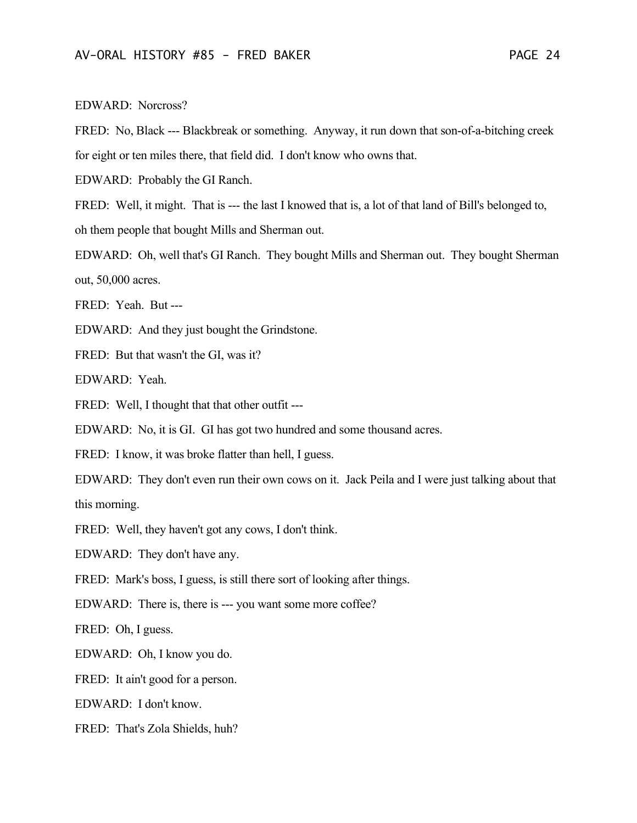#### EDWARD: Norcross?

FRED: No, Black --- Blackbreak or something. Anyway, it run down that son-of-a-bitching creek for eight or ten miles there, that field did. I don't know who owns that.

EDWARD: Probably the GI Ranch.

FRED: Well, it might. That is --- the last I knowed that is, a lot of that land of Bill's belonged to,

oh them people that bought Mills and Sherman out.

EDWARD: Oh, well that's GI Ranch. They bought Mills and Sherman out. They bought Sherman out, 50,000 acres.

FRED: Yeah. But ---

EDWARD: And they just bought the Grindstone.

FRED: But that wasn't the GI, was it?

EDWARD: Yeah.

FRED: Well, I thought that that other outfit ---

EDWARD: No, it is GI. GI has got two hundred and some thousand acres.

FRED: I know, it was broke flatter than hell, I guess.

EDWARD: They don't even run their own cows on it. Jack Peila and I were just talking about that this morning.

FRED: Well, they haven't got any cows, I don't think.

EDWARD: They don't have any.

FRED: Mark's boss, I guess, is still there sort of looking after things.

EDWARD: There is, there is --- you want some more coffee?

FRED: Oh, I guess.

EDWARD: Oh, I know you do.

FRED: It ain't good for a person.

EDWARD: I don't know.

FRED: That's Zola Shields, huh?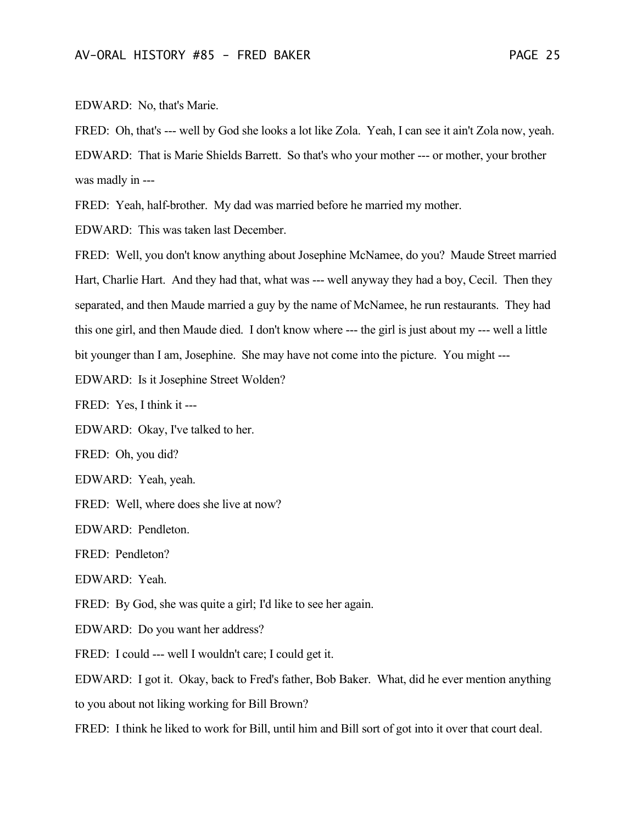EDWARD: No, that's Marie.

FRED: Oh, that's --- well by God she looks a lot like Zola. Yeah, I can see it ain't Zola now, yeah. EDWARD: That is Marie Shields Barrett. So that's who your mother --- or mother, your brother was madly in ---

FRED: Yeah, half-brother. My dad was married before he married my mother.

EDWARD: This was taken last December.

FRED: Well, you don't know anything about Josephine McNamee, do you? Maude Street married Hart, Charlie Hart. And they had that, what was --- well anyway they had a boy, Cecil. Then they separated, and then Maude married a guy by the name of McNamee, he run restaurants. They had this one girl, and then Maude died. I don't know where --- the girl is just about my --- well a little bit younger than I am, Josephine. She may have not come into the picture. You might ---

EDWARD: Is it Josephine Street Wolden?

FRED: Yes, I think it ---

EDWARD: Okay, I've talked to her.

FRED: Oh, you did?

EDWARD: Yeah, yeah.

FRED: Well, where does she live at now?

EDWARD: Pendleton.

FRED: Pendleton?

EDWARD: Yeah.

FRED: By God, she was quite a girl; I'd like to see her again.

EDWARD: Do you want her address?

FRED: I could --- well I wouldn't care; I could get it.

EDWARD: I got it. Okay, back to Fred's father, Bob Baker. What, did he ever mention anything to you about not liking working for Bill Brown?

FRED: I think he liked to work for Bill, until him and Bill sort of got into it over that court deal.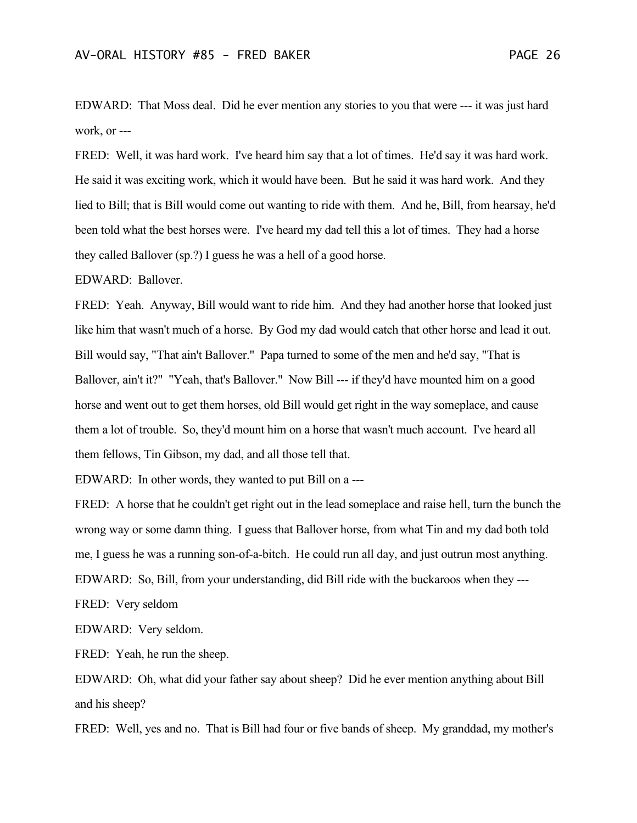EDWARD: That Moss deal. Did he ever mention any stories to you that were --- it was just hard work, or ---

FRED: Well, it was hard work. I've heard him say that a lot of times. He'd say it was hard work. He said it was exciting work, which it would have been. But he said it was hard work. And they lied to Bill; that is Bill would come out wanting to ride with them. And he, Bill, from hearsay, he'd been told what the best horses were. I've heard my dad tell this a lot of times. They had a horse they called Ballover (sp.?) I guess he was a hell of a good horse.

EDWARD: Ballover.

FRED: Yeah. Anyway, Bill would want to ride him. And they had another horse that looked just like him that wasn't much of a horse. By God my dad would catch that other horse and lead it out. Bill would say, "That ain't Ballover." Papa turned to some of the men and he'd say, "That is Ballover, ain't it?" "Yeah, that's Ballover." Now Bill --- if they'd have mounted him on a good horse and went out to get them horses, old Bill would get right in the way someplace, and cause them a lot of trouble. So, they'd mount him on a horse that wasn't much account. I've heard all them fellows, Tin Gibson, my dad, and all those tell that.

EDWARD: In other words, they wanted to put Bill on a ---

FRED: A horse that he couldn't get right out in the lead someplace and raise hell, turn the bunch the wrong way or some damn thing. I guess that Ballover horse, from what Tin and my dad both told me, I guess he was a running son-of-a-bitch. He could run all day, and just outrun most anything. EDWARD: So, Bill, from your understanding, did Bill ride with the buckaroos when they ---

FRED: Very seldom

EDWARD: Very seldom.

FRED: Yeah, he run the sheep.

EDWARD: Oh, what did your father say about sheep? Did he ever mention anything about Bill and his sheep?

FRED: Well, yes and no. That is Bill had four or five bands of sheep. My granddad, my mother's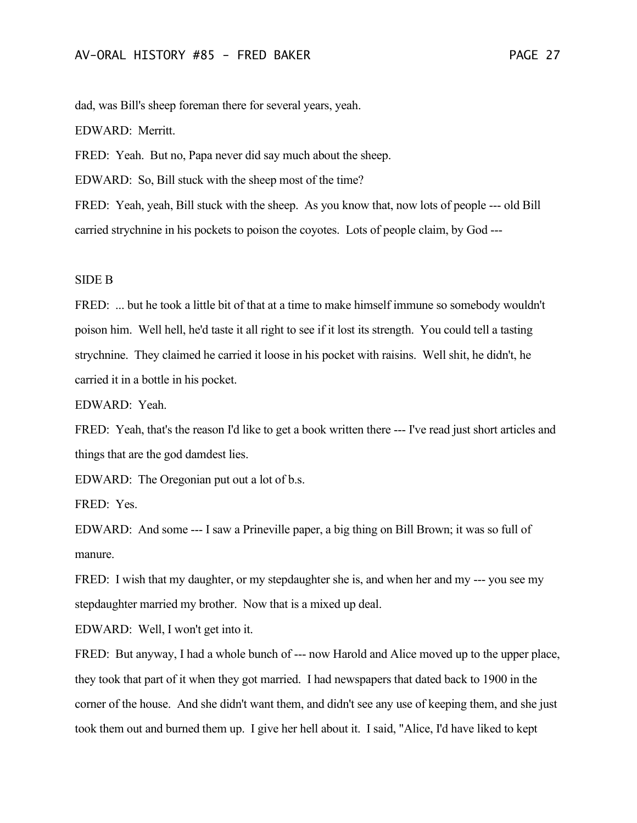dad, was Bill's sheep foreman there for several years, yeah.

EDWARD: Merritt.

FRED: Yeah. But no, Papa never did say much about the sheep.

EDWARD: So, Bill stuck with the sheep most of the time?

FRED: Yeah, yeah, Bill stuck with the sheep. As you know that, now lots of people --- old Bill carried strychnine in his pockets to poison the coyotes. Lots of people claim, by God ---

#### SIDE B

FRED: ... but he took a little bit of that at a time to make himself immune so somebody wouldn't poison him. Well hell, he'd taste it all right to see if it lost its strength. You could tell a tasting strychnine. They claimed he carried it loose in his pocket with raisins. Well shit, he didn't, he carried it in a bottle in his pocket.

EDWARD: Yeah.

FRED: Yeah, that's the reason I'd like to get a book written there --- I've read just short articles and things that are the god damdest lies.

EDWARD: The Oregonian put out a lot of b.s.

FRED: Yes.

EDWARD: And some --- I saw a Prineville paper, a big thing on Bill Brown; it was so full of manure.

FRED: I wish that my daughter, or my stepdaughter she is, and when her and my --- you see my stepdaughter married my brother. Now that is a mixed up deal.

EDWARD: Well, I won't get into it.

FRED: But anyway, I had a whole bunch of --- now Harold and Alice moved up to the upper place, they took that part of it when they got married. I had newspapers that dated back to 1900 in the corner of the house. And she didn't want them, and didn't see any use of keeping them, and she just took them out and burned them up. I give her hell about it. I said, "Alice, I'd have liked to kept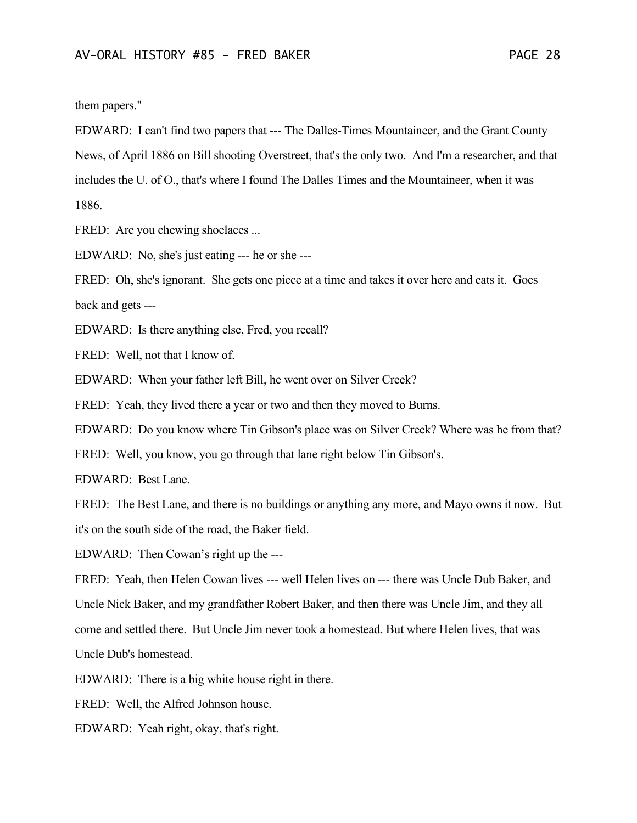them papers."

EDWARD: I can't find two papers that --- The Dalles-Times Mountaineer, and the Grant County News, of April 1886 on Bill shooting Overstreet, that's the only two. And I'm a researcher, and that includes the U. of O., that's where I found The Dalles Times and the Mountaineer, when it was 1886.

FRED: Are you chewing shoelaces ...

EDWARD: No, she's just eating --- he or she ---

FRED: Oh, she's ignorant. She gets one piece at a time and takes it over here and eats it. Goes back and gets ---

EDWARD: Is there anything else, Fred, you recall?

FRED: Well, not that I know of.

EDWARD: When your father left Bill, he went over on Silver Creek?

FRED: Yeah, they lived there a year or two and then they moved to Burns.

EDWARD: Do you know where Tin Gibson's place was on Silver Creek? Where was he from that?

FRED: Well, you know, you go through that lane right below Tin Gibson's.

EDWARD: Best Lane.

FRED: The Best Lane, and there is no buildings or anything any more, and Mayo owns it now. But it's on the south side of the road, the Baker field.

EDWARD: Then Cowan's right up the ---

FRED: Yeah, then Helen Cowan lives --- well Helen lives on --- there was Uncle Dub Baker, and Uncle Nick Baker, and my grandfather Robert Baker, and then there was Uncle Jim, and they all come and settled there. But Uncle Jim never took a homestead. But where Helen lives, that was Uncle Dub's homestead.

EDWARD: There is a big white house right in there.

FRED: Well, the Alfred Johnson house.

EDWARD: Yeah right, okay, that's right.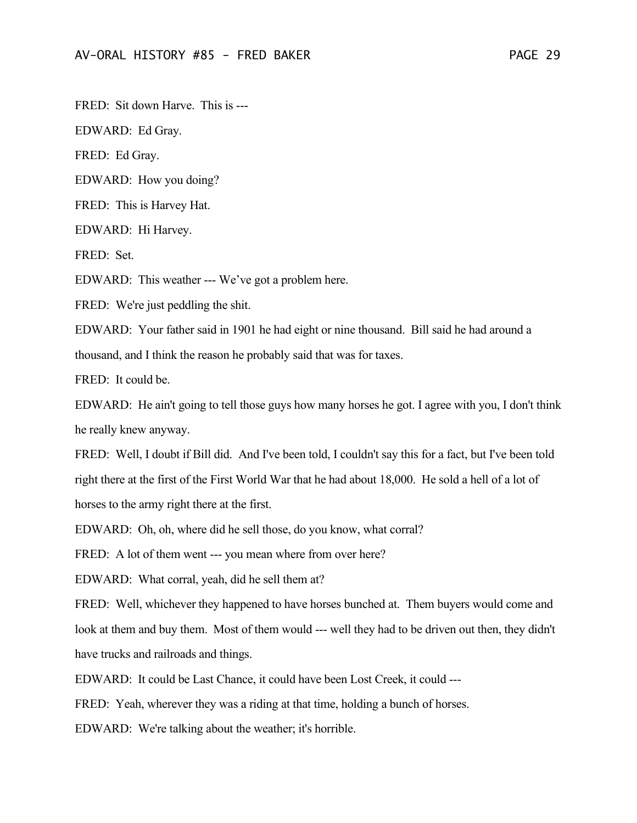FRED: Sit down Harve. This is ---

EDWARD: Ed Gray.

FRED: Ed Gray.

EDWARD: How you doing?

FRED: This is Harvey Hat.

EDWARD: Hi Harvey.

FRED: Set.

EDWARD: This weather --- We've got a problem here.

FRED: We're just peddling the shit.

EDWARD: Your father said in 1901 he had eight or nine thousand. Bill said he had around a thousand, and I think the reason he probably said that was for taxes.

FRED: It could be.

EDWARD: He ain't going to tell those guys how many horses he got. I agree with you, I don't think he really knew anyway.

FRED: Well, I doubt if Bill did. And I've been told, I couldn't say this for a fact, but I've been told right there at the first of the First World War that he had about 18,000. He sold a hell of a lot of horses to the army right there at the first.

EDWARD: Oh, oh, where did he sell those, do you know, what corral?

FRED: A lot of them went --- you mean where from over here?

EDWARD: What corral, yeah, did he sell them at?

FRED: Well, whichever they happened to have horses bunched at. Them buyers would come and look at them and buy them. Most of them would --- well they had to be driven out then, they didn't have trucks and railroads and things.

EDWARD: It could be Last Chance, it could have been Lost Creek, it could ---

FRED: Yeah, wherever they was a riding at that time, holding a bunch of horses.

EDWARD: We're talking about the weather; it's horrible.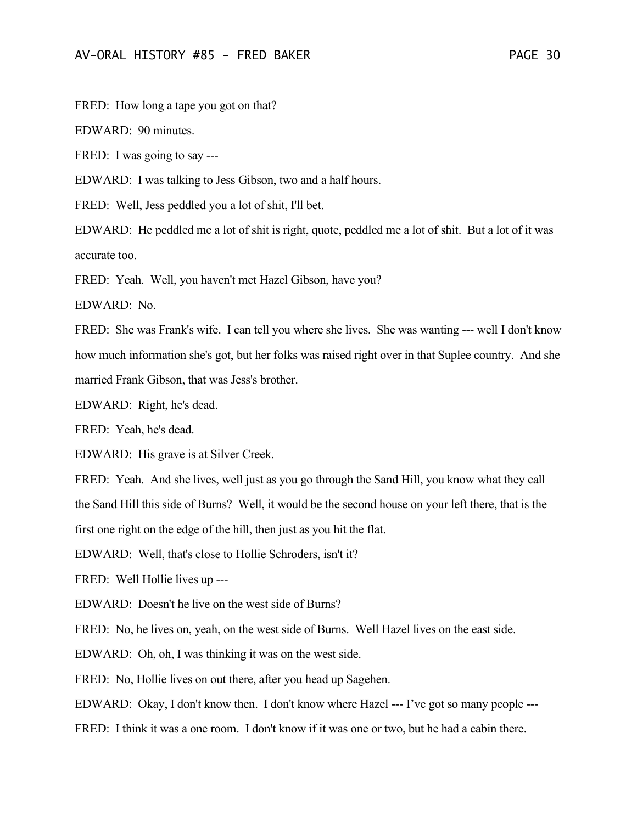FRED: How long a tape you got on that?

EDWARD: 90 minutes.

FRED: I was going to say ---

EDWARD: I was talking to Jess Gibson, two and a half hours.

FRED: Well, Jess peddled you a lot of shit, I'll bet.

EDWARD: He peddled me a lot of shit is right, quote, peddled me a lot of shit. But a lot of it was accurate too.

FRED: Yeah. Well, you haven't met Hazel Gibson, have you?

EDWARD: No.

FRED: She was Frank's wife. I can tell you where she lives. She was wanting --- well I don't know how much information she's got, but her folks was raised right over in that Suplee country. And she married Frank Gibson, that was Jess's brother.

EDWARD: Right, he's dead.

FRED: Yeah, he's dead.

EDWARD: His grave is at Silver Creek.

FRED: Yeah. And she lives, well just as you go through the Sand Hill, you know what they call the Sand Hill this side of Burns? Well, it would be the second house on your left there, that is the first one right on the edge of the hill, then just as you hit the flat.

EDWARD: Well, that's close to Hollie Schroders, isn't it?

FRED: Well Hollie lives up ---

EDWARD: Doesn't he live on the west side of Burns?

FRED: No, he lives on, yeah, on the west side of Burns. Well Hazel lives on the east side.

EDWARD: Oh, oh, I was thinking it was on the west side.

FRED: No, Hollie lives on out there, after you head up Sagehen.

EDWARD: Okay, I don't know then. I don't know where Hazel --- I've got so many people ---

FRED: I think it was a one room. I don't know if it was one or two, but he had a cabin there.